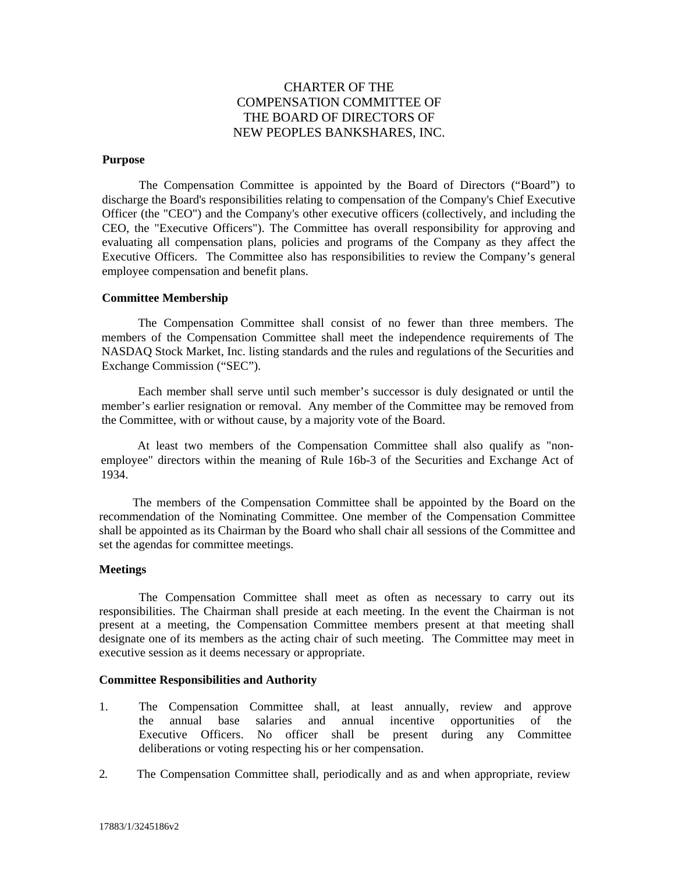# CHARTER OF THE COMPENSATION COMMITTEE OF THE BOARD OF DIRECTORS OF NEW PEOPLES BANKSHARES, INC.

#### **Purpose**

The Compensation Committee is appointed by the Board of Directors ("Board") to discharge the Board's responsibilities relating to compensation of the Company's Chief Executive Officer (the "CEO") and the Company's other executive officers (collectively, and including the CEO, the "Executive Officers"). The Committee has overall responsibility for approving and evaluating all compensation plans, policies and programs of the Company as they affect the Executive Officers. The Committee also has responsibilities to review the Company's general employee compensation and benefit plans.

## **Committee Membership**

The Compensation Committee shall consist of no fewer than three members. The members of the Compensation Committee shall meet the independence requirements of The NASDAQ Stock Market, Inc. listing standards and the rules and regulations of the Securities and Exchange Commission ("SEC").

Each member shall serve until such member's successor is duly designated or until the member's earlier resignation or removal. Any member of the Committee may be removed from the Committee, with or without cause, by a majority vote of the Board.

At least two members of the Compensation Committee shall also qualify as "nonemployee" directors within the meaning of Rule 16b-3 of the Securities and Exchange Act of 1934.

The members of the Compensation Committee shall be appointed by the Board on the recommendation of the Nominating Committee. One member of the Compensation Committee shall be appointed as its Chairman by the Board who shall chair all sessions of the Committee and set the agendas for committee meetings.

## **Meetings**

The Compensation Committee shall meet as often as necessary to carry out its responsibilities. The Chairman shall preside at each meeting. In the event the Chairman is not present at a meeting, the Compensation Committee members present at that meeting shall designate one of its members as the acting chair of such meeting. The Committee may meet in executive session as it deems necessary or appropriate.

#### **Committee Responsibilities and Authority**

- 1. The Compensation Committee shall, at least annually, review and approve the annual base salaries and annual incentive opportunities of the Executive Officers. No officer shall be present during any Committee deliberations or voting respecting his or her compensation.
- 2. The Compensation Committee shall, periodically and as and when appropriate, review